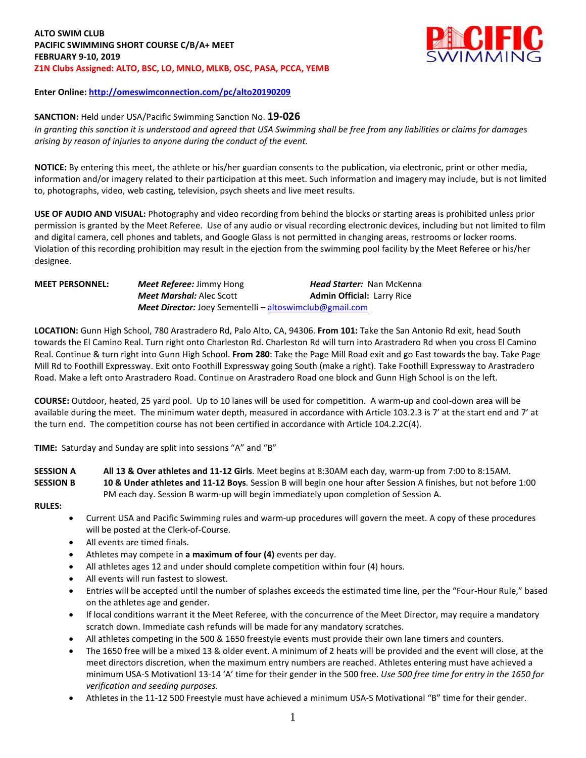

## **Enter Online: http://omeswimconnection.com/pc/alto20190209**

### **SANCTION:** Held under USA/Pacific Swimming Sanction No. **19-026**

In granting this sanction it is understood and agreed that USA Swimming shall be free from any liabilities or claims for damages *arising by reason of injuries to anyone during the conduct of the event.*

**NOTICE:** By entering this meet, the athlete or his/her guardian consents to the publication, via electronic, print or other media, information and/or imagery related to their participation at this meet. Such information and imagery may include, but is not limited to, photographs, video, web casting, television, psych sheets and live meet results.

**USE OF AUDIO AND VISUAL:** Photography and video recording from behind the blocks or starting areas is prohibited unless prior permission is granted by the Meet Referee. Use of any audio or visual recording electronic devices, including but not limited to film and digital camera, cell phones and tablets, and Google Glass is not permitted in changing areas, restrooms or locker rooms. Violation of this recording prohibition may result in the ejection from the swimming pool facility by the Meet Referee or his/her designee.

# **MEET PERSONNEL:** *Meet Referee:* Jimmy Hong *Head Starter:* Nan McKenna *Meet Marshal: Alec Scott* **<b>Admin Official: Larry Rice** *Meet Director:* Joey Sementelli – [altoswimclub@gmail.com](mailto:altoswimclub@gmail.com)

**LOCATION:** Gunn High School, 780 Arastradero Rd, Palo Alto, CA, 94306. **From 101:** Take the San Antonio Rd exit, head South towards the El Camino Real. Turn right onto Charleston Rd. Charleston Rd will turn into Arastradero Rd when you cross El Camino Real. Continue & turn right into Gunn High School. **From 280**: Take the Page Mill Road exit and go East towards the bay. Take Page Mill Rd to Foothill Expressway. Exit onto Foothill Expressway going South (make a right). Take Foothill Expressway to Arastradero Road. Make a left onto Arastradero Road. Continue on Arastradero Road one block and Gunn High School is on the left.

**COURSE:** Outdoor, heated, 25 yard pool.Up to 10 lanes will be used for competition. A warm-up and cool-down area will be available during the meet. The minimum water depth, measured in accordance with Article 103.2.3 is 7' at the start end and 7' at the turn end. The competition course has not been certified in accordance with Article 104.2.2C(4).

**TIME:** Saturday and Sunday are split into sessions "A" and "B"

**SESSION A All 13 & Over athletes and 11-12 Girls**. Meet begins at 8:30AM each day, warm-up from 7:00 to 8:15AM. **SESSION B 10 & Under athletes and 11-12 Boys**. Session B will begin one hour after Session A finishes, but not before 1:00 PM each day. Session B warm-up will begin immediately upon completion of Session A.

#### **RULES:**

- Current USA and Pacific Swimming rules and warm-up procedures will govern the meet. A copy of these procedures will be posted at the Clerk-of-Course.
- All events are timed finals.
- Athletes may compete in **a maximum of four (4)** events per day.
- All athletes ages 12 and under should complete competition within four (4) hours.
- All events will run fastest to slowest.
- Entries will be accepted until the number of splashes exceeds the estimated time line, per the "Four-Hour Rule," based on the athletes age and gender.
- If local conditions warrant it the Meet Referee, with the concurrence of the Meet Director, may require a mandatory scratch down. Immediate cash refunds will be made for any mandatory scratches.
- All athletes competing in the 500 & 1650 freestyle events must provide their own lane timers and counters.
- The 1650 free will be a mixed 13 & older event. A minimum of 2 heats will be provided and the event will close, at the meet directors discretion, when the maximum entry numbers are reached. Athletes entering must have achieved a minimum USA-S Motivationl 13-14 'A' time for their gender in the 500 free. *Use 500 free time for entry in the 1650 for verification and seeding purposes.*
- Athletes in the 11-12 500 Freestyle must have achieved a minimum USA-S Motivational "B" time for their gender.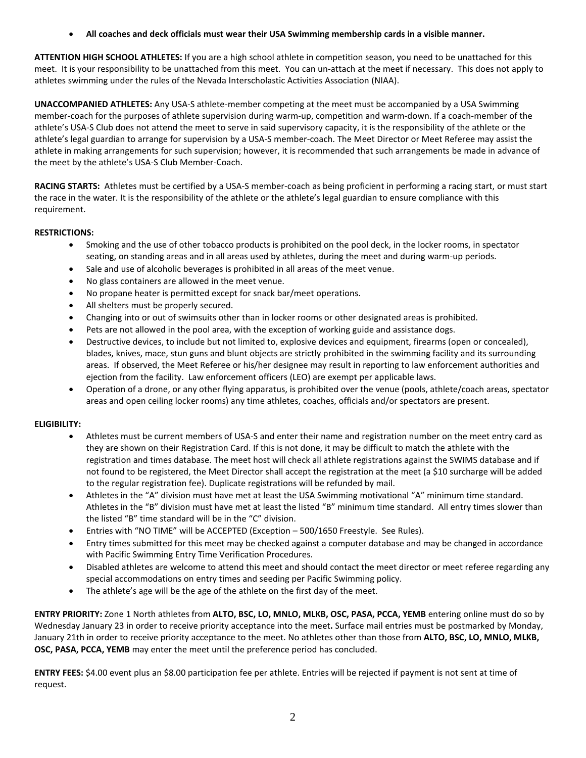**All coaches and deck officials must wear their USA Swimming membership cards in a visible manner.**

**ATTENTION HIGH SCHOOL ATHLETES:** If you are a high school athlete in competition season, you need to be unattached for this meet. It is your responsibility to be unattached from this meet. You can un-attach at the meet if necessary. This does not apply to athletes swimming under the rules of the Nevada Interscholastic Activities Association (NIAA).

**UNACCOMPANIED ATHLETES:** Any USA-S athlete-member competing at the meet must be accompanied by a USA Swimming member-coach for the purposes of athlete supervision during warm-up, competition and warm-down. If a coach-member of the athlete's USA-S Club does not attend the meet to serve in said supervisory capacity, it is the responsibility of the athlete or the athlete's legal guardian to arrange for supervision by a USA-S member-coach. The Meet Director or Meet Referee may assist the athlete in making arrangements for such supervision; however, it is recommended that such arrangements be made in advance of the meet by the athlete's USA-S Club Member-Coach.

**RACING STARTS:** Athletes must be certified by a USA-S member-coach as being proficient in performing a racing start, or must start the race in the water. It is the responsibility of the athlete or the athlete's legal guardian to ensure compliance with this requirement.

# **RESTRICTIONS:**

- Smoking and the use of other tobacco products is prohibited on the pool deck, in the locker rooms, in spectator seating, on standing areas and in all areas used by athletes, during the meet and during warm-up periods.
- Sale and use of alcoholic beverages is prohibited in all areas of the meet venue.
- No glass containers are allowed in the meet venue.
- No propane heater is permitted except for snack bar/meet operations.
- All shelters must be properly secured.
- Changing into or out of swimsuits other than in locker rooms or other designated areas is prohibited.
- Pets are not allowed in the pool area, with the exception of working guide and assistance dogs.
- Destructive devices, to include but not limited to, explosive devices and equipment, firearms (open or concealed), blades, knives, mace, stun guns and blunt objects are strictly prohibited in the swimming facility and its surrounding areas. If observed, the Meet Referee or his/her designee may result in reporting to law enforcement authorities and ejection from the facility. Law enforcement officers (LEO) are exempt per applicable laws.
- Operation of a drone, or any other flying apparatus, is prohibited over the venue (pools, athlete/coach areas, spectator areas and open ceiling locker rooms) any time athletes, coaches, officials and/or spectators are present.

## **ELIGIBILITY:**

- Athletes must be current members of USA-S and enter their name and registration number on the meet entry card as they are shown on their Registration Card. If this is not done, it may be difficult to match the athlete with the registration and times database. The meet host will check all athlete registrations against the SWIMS database and if not found to be registered, the Meet Director shall accept the registration at the meet (a \$10 surcharge will be added to the regular registration fee). Duplicate registrations will be refunded by mail.
- Athletes in the "A" division must have met at least the USA Swimming motivational "A" minimum time standard. Athletes in the "B" division must have met at least the listed "B" minimum time standard. All entry times slower than the listed "B" time standard will be in the "C" division.
- Entries with "NO TIME" will be ACCEPTED (Exception 500/1650 Freestyle. See Rules).
- Entry times submitted for this meet may be checked against a computer database and may be changed in accordance with Pacific Swimming Entry Time Verification Procedures.
- Disabled athletes are welcome to attend this meet and should contact the meet director or meet referee regarding any special accommodations on entry times and seeding per Pacific Swimming policy.
- The athlete's age will be the age of the athlete on the first day of the meet.

**ENTRY PRIORITY:** Zone 1 North athletes from **ALTO, BSC, LO, MNLO, MLKB, OSC, PASA, PCCA, YEMB** entering online must do so by Wednesday January 23 in order to receive priority acceptance into the meet**.** Surface mail entries must be postmarked by Monday, January 21th in order to receive priority acceptance to the meet. No athletes other than those from **ALTO, BSC, LO, MNLO, MLKB, OSC, PASA, PCCA, YEMB** may enter the meet until the preference period has concluded.

**ENTRY FEES:** \$4.00 event plus an \$8.00 participation fee per athlete. Entries will be rejected if payment is not sent at time of request.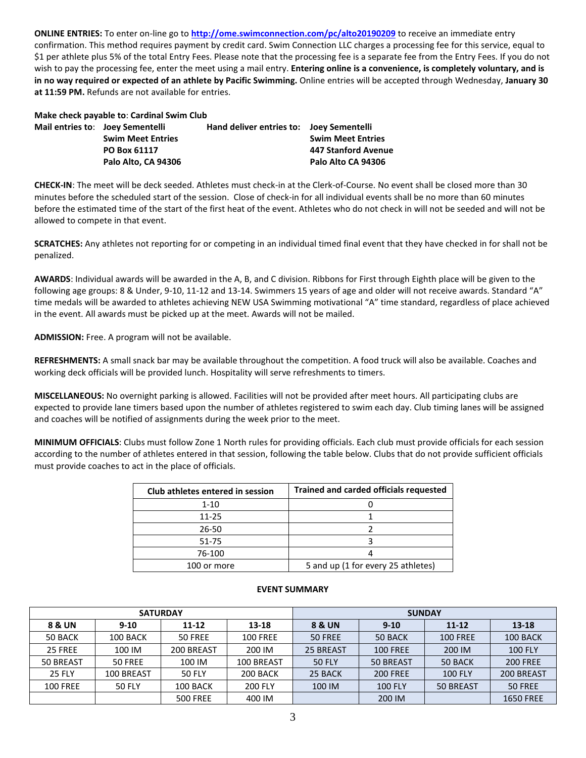**ONLINE ENTRIES:** To enter on-line go to **<http://ome.swimconnection.com/pc/alto20190209>** to receive an immediate entry confirmation. This method requires payment by credit card. Swim Connection LLC charges a processing fee for this service, equal to \$1 per athlete plus 5% of the total Entry Fees. Please note that the processing fee is a separate fee from the Entry Fees. If you do not wish to pay the processing fee, enter the meet using a mail entry. **Entering online is a convenience, is completely voluntary, and is** in no way required or expected of an athlete by Pacific Swimming. Online entries will be accepted through Wednesday, January 30 **at 11:59 PM.** Refunds are not available for entries.

| Make check payable to: Cardinal Swim Club |  |
|-------------------------------------------|--|
|-------------------------------------------|--|

| Mail entries to: Joey Sementelli | <b>Swim Meet Entries</b> | Hand deliver entries to: Joey Sementelli | <b>Swim Meet Entries</b> |
|----------------------------------|--------------------------|------------------------------------------|--------------------------|
|                                  | PO Box 61117             |                                          | 447 Stanford Avenue      |
|                                  | Palo Alto. CA 94306      |                                          | Palo Alto CA 94306       |

**CHECK-IN**: The meet will be deck seeded. Athletes must check-in at the Clerk-of-Course. No event shall be closed more than 30 minutes before the scheduled start of the session. Close of check-in for all individual events shall be no more than 60 minutes before the estimated time of the start of the first heat of the event. Athletes who do not check in will not be seeded and will not be allowed to compete in that event.

**SCRATCHES:** Any athletes not reporting for or competing in an individual timed final event that they have checked in for shall not be penalized.

**AWARDS**: Individual awards will be awarded in the A, B, and C division. Ribbons for First through Eighth place will be given to the following age groups: 8 & Under, 9-10, 11-12 and 13-14. Swimmers 15 years of age and older will not receive awards. Standard "A" time medals will be awarded to athletes achieving NEW USA Swimming motivational "A" time standard, regardless of place achieved in the event. All awards must be picked up at the meet. Awards will not be mailed.

**ADMISSION:** Free. A program will not be available.

**REFRESHMENTS:** A small snack bar may be available throughout the competition. A food truck will also be available. Coaches and working deck officials will be provided lunch. Hospitality will serve refreshments to timers.

**MISCELLANEOUS:** No overnight parking is allowed. Facilities will not be provided after meet hours. All participating clubs are expected to provide lane timers based upon the number of athletes registered to swim each day. Club timing lanes will be assigned and coaches will be notified of assignments during the week prior to the meet.

**MINIMUM OFFICIALS**: Clubs must follow Zone 1 North rules for providing officials. Each club must provide officials for each session according to the number of athletes entered in that session, following the table below. Clubs that do not provide sufficient officials must provide coaches to act in the place of officials.

| Club athletes entered in session | <b>Trained and carded officials requested</b> |
|----------------------------------|-----------------------------------------------|
| $1 - 10$                         |                                               |
| $11 - 25$                        |                                               |
| 26-50                            |                                               |
| 51-75                            |                                               |
| 76-100                           |                                               |
| 100 or more                      | 5 and up (1 for every 25 athletes)            |

## **EVENT SUMMARY**

|                 | <b>SATURDAY</b> |                 |                 |               | <b>SUNDAY</b>   |                 |                  |
|-----------------|-----------------|-----------------|-----------------|---------------|-----------------|-----------------|------------------|
| 8 & UN          | $9 - 10$        | $11 - 12$       | 13-18           | 8 & UN        | $9 - 10$        | $11 - 12$       | $13 - 18$        |
| 50 BACK         | 100 BACK        | 50 FREE         | <b>100 FREE</b> | 50 FREE       | 50 BACK         | <b>100 FREE</b> | 100 BACK         |
| 25 FREE         | 100 IM          | 200 BREAST      | 200 IM          | 25 BREAST     | <b>100 FREE</b> | 200 IM          | <b>100 FLY</b>   |
| 50 BREAST       | 50 FREE         | 100 IM          | 100 BREAST      | <b>50 FLY</b> | 50 BREAST       | 50 BACK         | <b>200 FREE</b>  |
| <b>25 FLY</b>   | 100 BREAST      | <b>50 FLY</b>   | 200 BACK        | 25 BACK       | <b>200 FREE</b> | <b>100 FLY</b>  | 200 BREAST       |
| <b>100 FREE</b> | <b>50 FLY</b>   | 100 BACK        | <b>200 FLY</b>  | 100 IM        | <b>100 FLY</b>  | 50 BREAST       | 50 FREE          |
|                 |                 | <b>500 FREE</b> | 400 IM          |               | 200 IM          |                 | <b>1650 FREE</b> |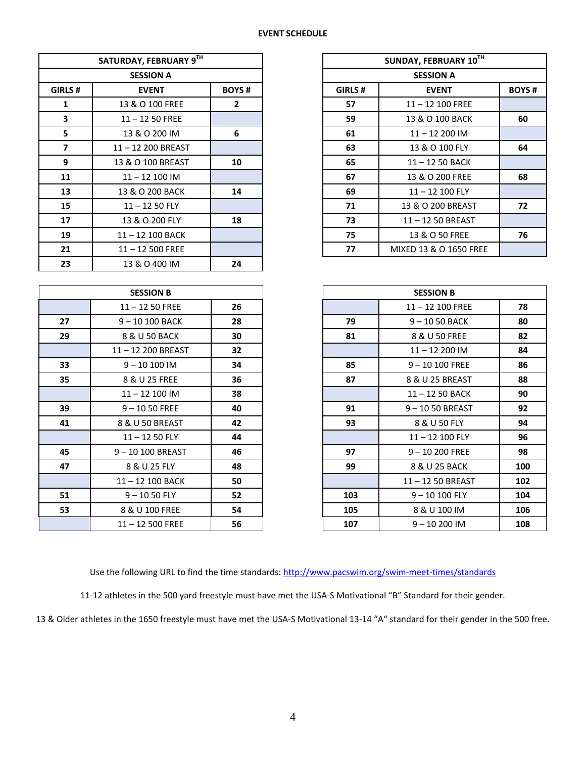### **EVENT SCHEDULE**

|                | SATURDAY, FEBRUARY 9TH       |              |        | SUNDAY, FEBRUARY 10TH  |              |  |
|----------------|------------------------------|--------------|--------|------------------------|--------------|--|
|                | <b>SESSION A</b>             |              |        | <b>SESSION A</b>       |              |  |
| GIRLS #        | <b>BOYS#</b><br><b>EVENT</b> |              | GIRLS# | <b>EVENT</b>           | <b>BOYS#</b> |  |
| $\mathbf{1}$   | 13 & O 100 FREE              | $\mathbf{2}$ | 57     | $11 - 12$ 100 FREE     |              |  |
| 3              | $11 - 1250$ FREE             |              | 59     | 13 & O 100 BACK        | 60           |  |
| 5              | 13 & O 200 IM                | 6            | 61     | $11 - 12200$ IM        |              |  |
| $\overline{7}$ | 11-12 200 BREAST             |              | 63     | 13 & O 100 FLY         | 64           |  |
| 9              | 13 & O 100 BREAST            | 10           | 65     | $11 - 1250$ BACK       |              |  |
| 11             | $11 - 12100$ IM              |              | 67     | 13 & O 200 FREE        | 68           |  |
| 13             | 13 & O 200 BACK              | 14           | 69     | 11-12 100 FLY          |              |  |
| 15             | $11 - 1250$ FLY              |              | 71     | 13 & O 200 BREAST      | 72           |  |
| 17             | 13 & O 200 FLY               | 18           | 73     | 11-12 50 BREAST        |              |  |
| 19             | 11-12 100 BACK               |              | 75     | 13 & O 50 FREE         | 76           |  |
| 21             | $11 - 12500$ FREE            |              | 77     | MIXED 13 & O 1650 FREE |              |  |
| 23             | 13 & O 400 IM                | 24           |        |                        |              |  |
|                |                              |              |        |                        |              |  |
|                | <b>SESSION B</b>             |              |        | <b>SESSION B</b>       |              |  |
|                | $11 - 1250$ FREE             | 26           |        | $11 - 12$ 100 FREE     | 78           |  |
| 27             | 9-10 100 BACK                | 28           | 79     | $9 - 1050$ BACK        | 80           |  |
| 29             | 8 & U 50 BACK                | 30           | 81     | 8 & U 50 FREE          | 82           |  |
|                | 11-12 200 BREAST             | 32           |        | $11 - 12200$ IM        | 84           |  |
| 33             | $9 - 10100$ IM               | 34           | 85     | $9 - 10100$ FREE       | 86           |  |
| 35             | 8 & U 25 FREE                | 36           | 87     | 8 & U 25 BREAST        | 88           |  |

|                |        | SUNDAY, FEBRUARY 10TH  |              |  |  |  |  |  |  |
|----------------|--------|------------------------|--------------|--|--|--|--|--|--|
|                |        | <b>SESSION A</b>       |              |  |  |  |  |  |  |
| <b>BOYS#</b>   | GIRLS# | <b>EVENT</b>           | <b>BOYS#</b> |  |  |  |  |  |  |
| $\overline{2}$ | 57     | $11 - 12$ 100 FREE     |              |  |  |  |  |  |  |
|                | 59     | 13 & O 100 BACK        | 60           |  |  |  |  |  |  |
|                | 61     | $11 - 12200$ IM        |              |  |  |  |  |  |  |
|                | 63     | 13 & O 100 FLY         | 64           |  |  |  |  |  |  |
|                | 65     | $11 - 1250$ BACK       |              |  |  |  |  |  |  |
|                | 67     | 13 & O 200 FREE        | 68           |  |  |  |  |  |  |
|                | 69     | 11-12 100 FLY          |              |  |  |  |  |  |  |
|                | 71     | 13 & O 200 BREAST      | 72           |  |  |  |  |  |  |
|                | 73     | 11-12 50 BREAST        |              |  |  |  |  |  |  |
|                | 75     | 13 & O 50 FREE         | 76           |  |  |  |  |  |  |
|                | 77     | MIXED 13 & O 1650 FREE |              |  |  |  |  |  |  |
|                |        |                        |              |  |  |  |  |  |  |

|    | <b>SESSION B</b>  |    |     | <b>SESSION B</b>   |     |
|----|-------------------|----|-----|--------------------|-----|
|    | $11 - 1250$ FREE  | 26 |     | $11 - 12$ 100 FREE | 78  |
| 27 | $9 - 10100$ BACK  | 28 | 79  | $9 - 1050$ BACK    | 80  |
| 29 | 8 & U 50 BACK     | 30 | 81  | 8 & U 50 FREE      | 82  |
|    | 11-12 200 BREAST  | 32 |     | $11 - 12200$ IM    | 84  |
| 33 | $9 - 10100$ IM    | 34 | 85  | $9 - 10 100$ FREE  | 86  |
| 35 | 8 & U 25 FREE     | 36 | 87  | 8 & U 25 BREAST    | 88  |
|    | $11 - 12$ 100 IM  | 38 |     | $11 - 1250$ BACK   | 90  |
| 39 | $9 - 1050$ FREE   | 40 | 91  | $9 - 1050$ BREAST  | 92  |
| 41 | 8 & U 50 BREAST   | 42 | 93  | 8 & U 50 FLY       | 94  |
|    | $11 - 1250$ FLY   | 44 |     | $11 - 12$ 100 FLY  | 96  |
| 45 | 9-10 100 BREAST   | 46 | 97  | $9 - 10200$ FREE   | 98  |
| 47 | 8 & U 25 FLY      | 48 | 99  | 8 & U 25 BACK      | 100 |
|    | 11-12 100 BACK    | 50 |     | 11-12 50 BREAST    | 102 |
| 51 | $9 - 1050$ FLY    | 52 | 103 | $9 - 10100$ FLY    | 104 |
| 53 | 8 & U 100 FREE    | 54 | 105 | 8 & U 100 IM       | 106 |
|    | $11 - 12500$ FREE | 56 | 107 | $9 - 10200$ IM     | 108 |

| Use the following URL to find the time standards: http://www.pacswim.org/swim-meet-times/standards |
|----------------------------------------------------------------------------------------------------|
|----------------------------------------------------------------------------------------------------|

11-12 athletes in the 500 yard freestyle must have met the USA-S Motivational "B" Standard for their gender.

& Older athletes in the 1650 freestyle must have met the USA-S Motivational 13-14 "A" standard for their gender in the 500 free.